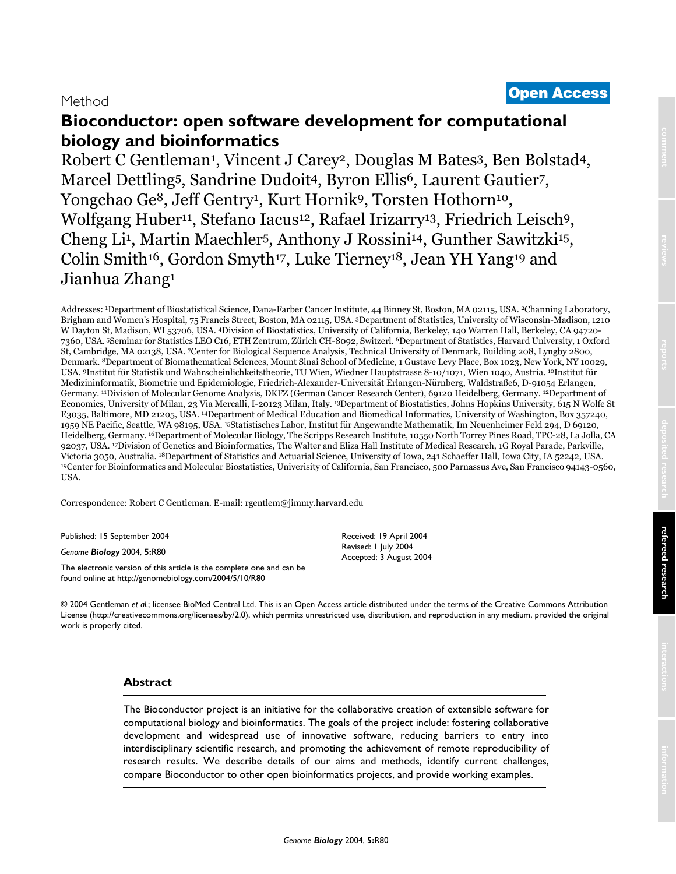# <sup>2004</sup> Gentleman et al.Volume 5, Issue 10, Article R80 **[Open Access](http://www.biomedcentral.com/info/about/charter/)** Method

## **Bioconductor: open software development for computational biology and bioinformatics**

Robert C Gentleman<sup>1</sup>, Vincent J Carey<sup>2</sup>, Douglas M Bates<sup>3</sup>, Ben Bolstad<sup>4</sup>, Marcel Dettling<sup>5</sup>, Sandrine Dudoit<sup>4</sup>, Byron Ellis<sup>6</sup>, Laurent Gautier<sup>7</sup>, Yongchao Ge<sup>8</sup>, Jeff Gentry<sup>1</sup>, Kurt Hornik<sup>9</sup>, Torsten Hothorn<sup>10</sup>, Wolfgang Huber<sup>11</sup>, Stefano Iacus<sup>12</sup>, Rafael Irizarry<sup>13</sup>, Friedrich Leisch<sup>9</sup>, Cheng Li<sup>1</sup>, Martin Maechler<sup>5</sup>, Anthony J Rossini<sup>14</sup>, Gunther Sawitzki<sup>15</sup>, Colin Smith<sup>16</sup>, Gordon Smyth<sup>17</sup>, Luke Tierney<sup>18</sup>, Jean YH Yang<sup>19</sup> and Jianhua Zhang<sup>1</sup>

Addresses: 1Department of Biostatistical Science, Dana-Farber Cancer Institute, 44 Binney St, Boston, MA 02115, USA. <sup>2</sup>Channing Laboratory, Brigham and Women's Hospital, 75 Francis Street, Boston, MA 02115, USA. <sup>3</sup>Department of Statistics, University of Wisconsin-Madison, 1210 W Dayton St, Madison, WI 53706, USA. <sup>4</sup>Division of Biostatistics, University of California, Berkeley, 140 Warren Hall, Berkeley, CA 94720- 7360, USA. <sup>5</sup>Seminar for Statistics LEO C16, ETH Zentrum, Zürich CH-8092, Switzerl. <sup>6</sup>Department of Statistics, Harvard University, 1 Oxford St, Cambridge, MA 02138, USA. <sup>7</sup>Center for Biological Sequence Analysis, Technical University of Denmark, Building 208, Lyngby 2800, Denmark. <sup>8</sup>Department of Biomathematical Sciences, Mount Sinai School of Medicine, 1 Gustave Levy Place, Box 1023, New York, NY 10029, USA. <sup>9</sup>Institut für Statistik und Wahrscheinlichkeitstheorie, TU Wien, Wiedner Hauptstrasse 8-10/1071, Wien 1040, Austria. <sup>10</sup>Institut für Medizininformatik, Biometrie und Epidemiologie, Friedrich-Alexander-Universität Erlangen-Nürnberg, Waldstraße6, D-91054 Erlangen, Germany. <sup>11</sup>Division of Molecular Genome Analysis, DKFZ (German Cancer Research Center), 69120 Heidelberg, Germany. <sup>12</sup>Department of Economics, University of Milan, 23 Via Mercalli, I-20123 Milan, Italy. <sup>13</sup>Department of Biostatistics, Johns Hopkins University, 615 N Wolfe St E3035, Baltimore, MD 21205, USA. <sup>14</sup>Department of Medical Education and Biomedical Informatics, University of Washington, Box 357240, 1959 NE Pacific, Seattle, WA 98195, USA. <sup>15</sup>Statistisches Labor, Institut für Angewandte Mathematik, Im Neuenheimer Feld 294, D 69120, Heidelberg, Germany. <sup>16</sup>Department of Molecular Biology, The Scripps Research Institute, 10550 North Torrey Pines Road, TPC-28, La Jolla, CA 92037, USA. <sup>17</sup>Division of Genetics and Bioinformatics, The Walter and Eliza Hall Institute of Medical Research, 1G Royal Parade, Parkville, Victoria 3050, Australia. <sup>18</sup>Department of Statistics and Actuarial Science, University of Iowa, 241 Schaeffer Hall, Iowa City, IA 52242, USA. <sup>19</sup>Center for Bioinformatics and Molecular Biostatistics, Univerisity of California, San Francisco, 500 Parnassus Ave, San Francisco 94143-0560, USA.

Correspondence: Robert C Gentleman. E-mail: rgentlem@jimmy.harvard.edu

Published: 15 September 2004

*Genome Biology* 2004, **5:**R80

[The electronic version of this article is the complete one and can be](http://genomebiology.com/2004/5/10/R80)  found online at http://genomebiology.com/2004/5/10/R80

Received: 19 April 2004 Revised: 1 July 2004 Accepted: 3 August 2004

© 2004 Gentleman *et al*[.; licensee BioMed Central Ltd. This is an Open Access article distributed under the terms of the Creative Commons Attribution](http://creativecommons.org/licenses/by/2.0)  [License \(http://creativecommons.org/licenses/by/2.0\), which permits unrestricted use, distribution, and reproduction in any medium, provided the original](http://creativecommons.org/licenses/by/2.0)  work is properly cited.

## **Abstract**

The Bioconductor project is an initiative for the collaborative creation of extensible software for computational biology and bioinformatics. The goals of the project include: fostering collaborative development and widespread use of innovative software, reducing barriers to entry into interdisciplinary scientific research, and promoting the achievement of remote reproducibility of research results. We describe details of our aims and methods, identify current challenges, compare Bioconductor to other open bioinformatics projects, and provide working examples.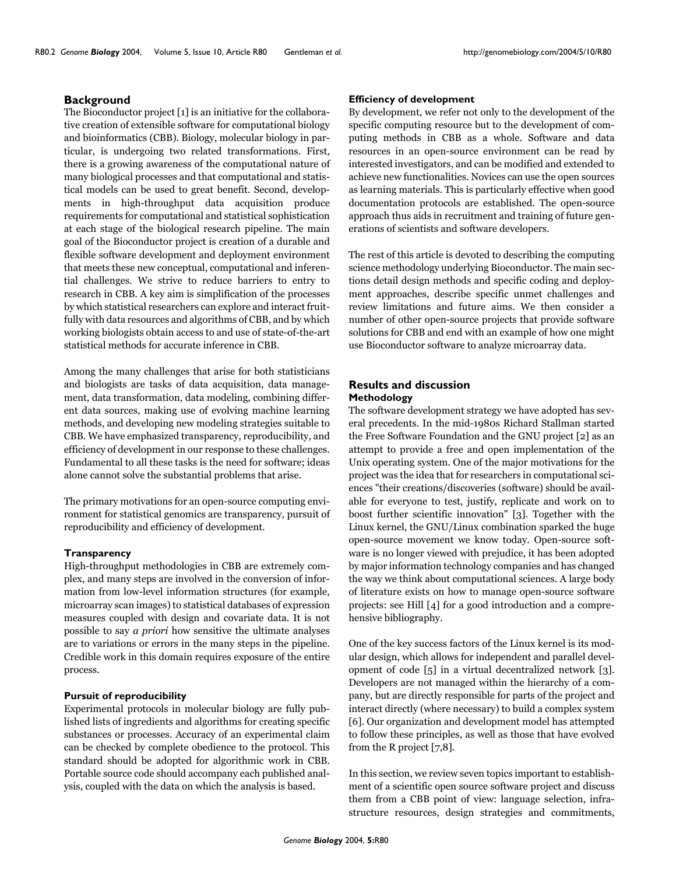#### **Background**

The Bioconductor project [1] is an initiative for the collaborative creation of extensible software for computational biology and bioinformatics (CBB). Biology, molecular biology in particular, is undergoing two related transformations. First, there is a growing awareness of the computational nature of many biological processes and that computational and statistical models can be used to great benefit. Second, developments in high-throughput data acquisition produce requirements for computational and statistical sophistication at each stage of the biological research pipeline. The main goal of the Bioconductor project is creation of a durable and flexible software development and deployment environment that meets these new conceptual, computational and inferential challenges. We strive to reduce barriers to entry to research in CBB. A key aim is simplification of the processes by which statistical researchers can explore and interact fruitfully with data resources and algorithms of CBB, and by which working biologists obtain access to and use of state-of-the-art statistical methods for accurate inference in CBB.

Among the many challenges that arise for both statisticians and biologists are tasks of data acquisition, data management, data transformation, data modeling, combining different data sources, making use of evolving machine learning methods, and developing new modeling strategies suitable to CBB. We have emphasized transparency, reproducibility, and efficiency of development in our response to these challenges. Fundamental to all these tasks is the need for software; ideas alone cannot solve the substantial problems that arise.

The primary motivations for an open-source computing environment for statistical genomics are transparency, pursuit of reproducibility and efficiency of development.

#### **Transparency**

High-throughput methodologies in CBB are extremely complex, and many steps are involved in the conversion of information from low-level information structures (for example, microarray scan images) to statistical databases of expression measures coupled with design and covariate data. It is not possible to say *a priori* how sensitive the ultimate analyses are to variations or errors in the many steps in the pipeline. Credible work in this domain requires exposure of the entire process.

#### **Pursuit of reproducibility**

Experimental protocols in molecular biology are fully published lists of ingredients and algorithms for creating specific substances or processes. Accuracy of an experimental claim can be checked by complete obedience to the protocol. This standard should be adopted for algorithmic work in CBB. Portable source code should accompany each published analysis, coupled with the data on which the analysis is based.

#### **Efficiency of development**

By development, we refer not only to the development of the specific computing resource but to the development of computing methods in CBB as a whole. Software and data resources in an open-source environment can be read by interested investigators, and can be modified and extended to achieve new functionalities. Novices can use the open sources as learning materials. This is particularly effective when good documentation protocols are established. The open-source approach thus aids in recruitment and training of future generations of scientists and software developers.

The rest of this article is devoted to describing the computing science methodology underlying Bioconductor. The main sections detail design methods and specific coding and deployment approaches, describe specific unmet challenges and review limitations and future aims. We then consider a number of other open-source projects that provide software solutions for CBB and end with an example of how one might use Bioconductor software to analyze microarray data.

## **Results and discussion Methodology**

The software development strategy we have adopted has several precedents. In the mid-1980s Richard Stallman started the Free Software Foundation and the GNU project [2] as an attempt to provide a free and open implementation of the Unix operating system. One of the major motivations for the project was the idea that for researchers in computational sciences "their creations/discoveries (software) should be available for everyone to test, justify, replicate and work on to boost further scientific innovation" [3]. Together with the Linux kernel, the GNU/Linux combination sparked the huge open-source movement we know today. Open-source software is no longer viewed with prejudice, it has been adopted by major information technology companies and has changed the way we think about computational sciences. A large body of literature exists on how to manage open-source software projects: see Hill [4] for a good introduction and a comprehensive bibliography.

One of the key success factors of the Linux kernel is its modular design, which allows for independent and parallel development of code [5] in a virtual decentralized network [3]. Developers are not managed within the hierarchy of a company, but are directly responsible for parts of the project and interact directly (where necessary) to build a complex system [6]. Our organization and development model has attempted to follow these principles, as well as those that have evolved from the R project [7,8].

In this section, we review seven topics important to establishment of a scientific open source software project and discuss them from a CBB point of view: language selection, infrastructure resources, design strategies and commitments,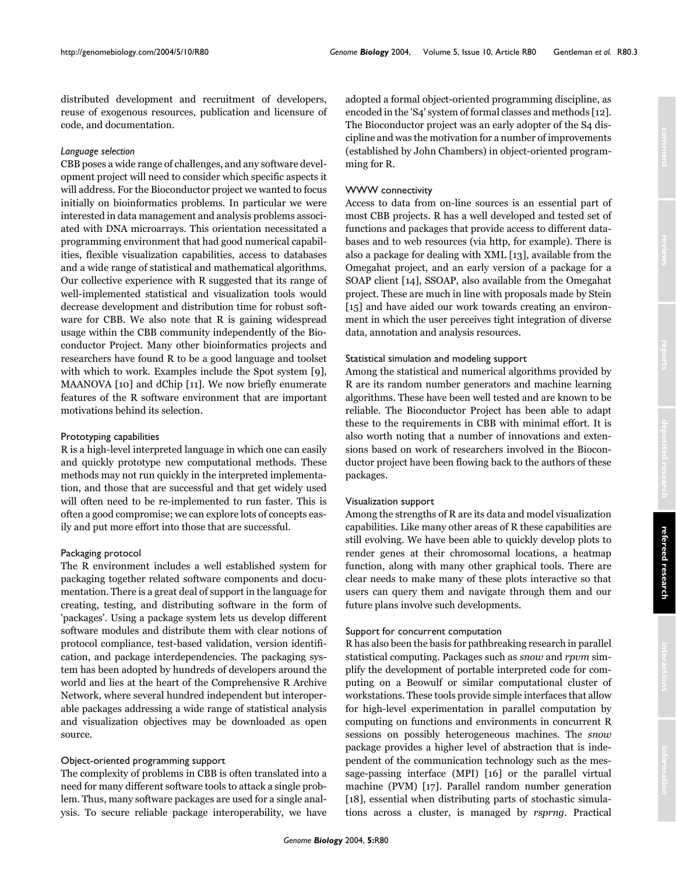distributed development and recruitment of developers, reuse of exogenous resources, publication and licensure of code, and documentation.

#### *Language selection*

CBB poses a wide range of challenges, and any software development project will need to consider which specific aspects it will address. For the Bioconductor project we wanted to focus initially on bioinformatics problems. In particular we were interested in data management and analysis problems associated with DNA microarrays. This orientation necessitated a programming environment that had good numerical capabilities, flexible visualization capabilities, access to databases and a wide range of statistical and mathematical algorithms. Our collective experience with R suggested that its range of well-implemented statistical and visualization tools would decrease development and distribution time for robust software for CBB. We also note that R is gaining widespread usage within the CBB community independently of the Bioconductor Project. Many other bioinformatics projects and researchers have found R to be a good language and toolset with which to work. Examples include the Spot system [9], MAANOVA [10] and dChip [11]. We now briefly enumerate features of the R software environment that are important motivations behind its selection.

## Prototyping capabilities

R is a high-level interpreted language in which one can easily and quickly prototype new computational methods. These methods may not run quickly in the interpreted implementation, and those that are successful and that get widely used will often need to be re-implemented to run faster. This is often a good compromise; we can explore lots of concepts easily and put more effort into those that are successful.

#### Packaging protocol

The R environment includes a well established system for packaging together related software components and documentation. There is a great deal of support in the language for creating, testing, and distributing software in the form of 'packages'. Using a package system lets us develop different software modules and distribute them with clear notions of protocol compliance, test-based validation, version identification, and package interdependencies. The packaging system has been adopted by hundreds of developers around the world and lies at the heart of the Comprehensive R Archive Network, where several hundred independent but interoperable packages addressing a wide range of statistical analysis and visualization objectives may be downloaded as open source.

#### Object-oriented programming support

The complexity of problems in CBB is often translated into a need for many different software tools to attack a single problem. Thus, many software packages are used for a single analysis. To secure reliable package interoperability, we have

adopted a formal object-oriented programming discipline, as encoded in the 'S4' system of formal classes and methods [12]. The Bioconductor project was an early adopter of the S4 discipline and was the motivation for a number of improvements (established by John Chambers) in object-oriented programming for R.

## WWW connectivity

Access to data from on-line sources is an essential part of most CBB projects. R has a well developed and tested set of functions and packages that provide access to different databases and to web resources (via http, for example). There is also a package for dealing with XML [13], available from the Omegahat project, and an early version of a package for a SOAP client [14], SSOAP, also available from the Omegahat project. These are much in line with proposals made by Stein [15] and have aided our work towards creating an environment in which the user perceives tight integration of diverse data, annotation and analysis resources.

## Statistical simulation and modeling support

Among the statistical and numerical algorithms provided by R are its random number generators and machine learning algorithms. These have been well tested and are known to be reliable. The Bioconductor Project has been able to adapt these to the requirements in CBB with minimal effort. It is also worth noting that a number of innovations and extensions based on work of researchers involved in the Bioconductor project have been flowing back to the authors of these packages.

#### Visualization support

Among the strengths of R are its data and model visualization capabilities. Like many other areas of R these capabilities are still evolving. We have been able to quickly develop plots to render genes at their chromosomal locations, a heatmap function, along with many other graphical tools. There are clear needs to make many of these plots interactive so that users can query them and navigate through them and our future plans involve such developments.

#### Support for concurrent computation

R has also been the basis for pathbreaking research in parallel statistical computing. Packages such as *snow* and *rpvm* simplify the development of portable interpreted code for computing on a Beowulf or similar computational cluster of workstations. These tools provide simple interfaces that allow for high-level experimentation in parallel computation by computing on functions and environments in concurrent R sessions on possibly heterogeneous machines. The *snow* package provides a higher level of abstraction that is independent of the communication technology such as the message-passing interface (MPI) [16] or the parallel virtual machine (PVM) [17]. Parallel random number generation [18], essential when distributing parts of stochastic simulations across a cluster, is managed by *rsprng*. Practical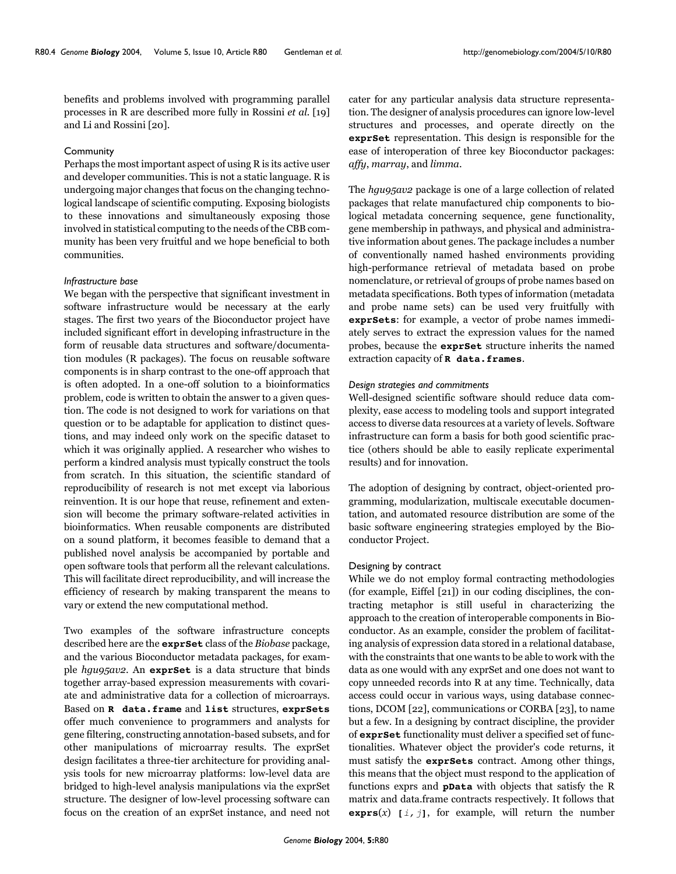benefits and problems involved with programming parallel processes in R are described more fully in Rossini *et al.* [19] and Li and Rossini [20].

#### **Community**

Perhaps the most important aspect of using R is its active user and developer communities. This is not a static language. R is undergoing major changes that focus on the changing technological landscape of scientific computing. Exposing biologists to these innovations and simultaneously exposing those involved in statistical computing to the needs of the CBB community has been very fruitful and we hope beneficial to both communities.

#### *Infrastructure base*

We began with the perspective that significant investment in software infrastructure would be necessary at the early stages. The first two years of the Bioconductor project have included significant effort in developing infrastructure in the form of reusable data structures and software/documentation modules (R packages). The focus on reusable software components is in sharp contrast to the one-off approach that is often adopted. In a one-off solution to a bioinformatics problem, code is written to obtain the answer to a given question. The code is not designed to work for variations on that question or to be adaptable for application to distinct questions, and may indeed only work on the specific dataset to which it was originally applied. A researcher who wishes to perform a kindred analysis must typically construct the tools from scratch. In this situation, the scientific standard of reproducibility of research is not met except via laborious reinvention. It is our hope that reuse, refinement and extension will become the primary software-related activities in bioinformatics. When reusable components are distributed on a sound platform, it becomes feasible to demand that a published novel analysis be accompanied by portable and open software tools that perform all the relevant calculations. This will facilitate direct reproducibility, and will increase the efficiency of research by making transparent the means to vary or extend the new computational method.

Two examples of the software infrastructure concepts described here are the exprSet class of the *Biobase* package, and the various Bioconductor metadata packages, for example *hgu95av2*. An exprSet is a data structure that binds together array-based expression measurements with covariate and administrative data for a collection of microarrays. Based on R data.frame and list structures, exprSets offer much convenience to programmers and analysts for gene filtering, constructing annotation-based subsets, and for other manipulations of microarray results. The exprSet design facilitates a three-tier architecture for providing analysis tools for new microarray platforms: low-level data are bridged to high-level analysis manipulations via the exprSet structure. The designer of low-level processing software can focus on the creation of an exprSet instance, and need not

cater for any particular analysis data structure representation. The designer of analysis procedures can ignore low-level structures and processes, and operate directly on the exprSet representation. This design is responsible for the ease of interoperation of three key Bioconductor packages: *affy*, *marray*, and *limma*.

The *hgu95av2* package is one of a large collection of related packages that relate manufactured chip components to biological metadata concerning sequence, gene functionality, gene membership in pathways, and physical and administrative information about genes. The package includes a number of conventionally named hashed environments providing high-performance retrieval of metadata based on probe nomenclature, or retrieval of groups of probe names based on metadata specifications. Both types of information (metadata and probe name sets) can be used very fruitfully with exprSets: for example, a vector of probe names immediately serves to extract the expression values for the named probes, because the **exprSet** structure inherits the named extraction capacity of R data.frames.

#### *Design strategies and commitments*

Well-designed scientific software should reduce data complexity, ease access to modeling tools and support integrated access to diverse data resources at a variety of levels. Software infrastructure can form a basis for both good scientific practice (others should be able to easily replicate experimental results) and for innovation.

The adoption of designing by contract, object-oriented programming, modularization, multiscale executable documentation, and automated resource distribution are some of the basic software engineering strategies employed by the Bioconductor Project.

#### Designing by contract

While we do not employ formal contracting methodologies (for example, Eiffel [21]) in our coding disciplines, the contracting metaphor is still useful in characterizing the approach to the creation of interoperable components in Bioconductor. As an example, consider the problem of facilitating analysis of expression data stored in a relational database, with the constraints that one wants to be able to work with the data as one would with any exprSet and one does not want to copy unneeded records into R at any time. Technically, data access could occur in various ways, using database connections, DCOM [22], communications or CORBA [23], to name but a few. In a designing by contract discipline, the provider of exprSet functionality must deliver a specified set of functionalities. Whatever object the provider's code returns, it must satisfy the **exprSets** contract. Among other things, this means that the object must respond to the application of functions exprs and pData with objects that satisfy the R matrix and data.frame contracts respectively. It follows that  $\exp\{f(x) \mid [i, j] \}$ , for example, will return the number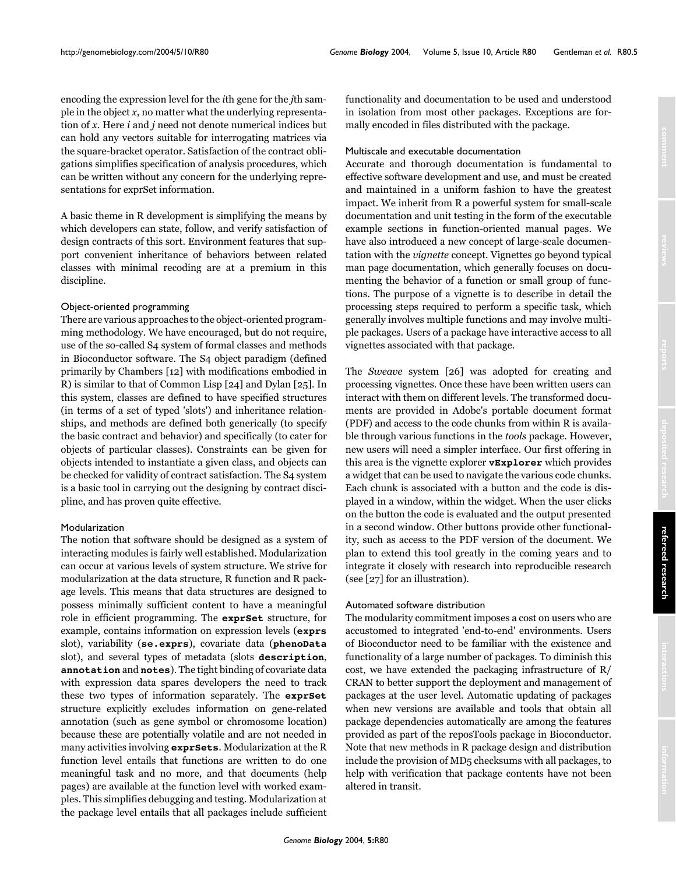encoding the expression level for the *i*th gene for the *j*th sample in the object *x*, no matter what the underlying representation of *x*. Here *i* and *j* need not denote numerical indices but can hold any vectors suitable for interrogating matrices via the square-bracket operator. Satisfaction of the contract obligations simplifies specification of analysis procedures, which can be written without any concern for the underlying representations for exprSet information.

A basic theme in R development is simplifying the means by which developers can state, follow, and verify satisfaction of design contracts of this sort. Environment features that support convenient inheritance of behaviors between related classes with minimal recoding are at a premium in this discipline.

#### Object-oriented programming

There are various approaches to the object-oriented programming methodology. We have encouraged, but do not require, use of the so-called S4 system of formal classes and methods in Bioconductor software. The S4 object paradigm (defined primarily by Chambers [12] with modifications embodied in R) is similar to that of Common Lisp [24] and Dylan [25]. In this system, classes are defined to have specified structures (in terms of a set of typed 'slots') and inheritance relationships, and methods are defined both generically (to specify the basic contract and behavior) and specifically (to cater for objects of particular classes). Constraints can be given for objects intended to instantiate a given class, and objects can be checked for validity of contract satisfaction. The S4 system is a basic tool in carrying out the designing by contract discipline, and has proven quite effective.

#### Modularization

The notion that software should be designed as a system of interacting modules is fairly well established. Modularization can occur at various levels of system structure. We strive for modularization at the data structure, R function and R package levels. This means that data structures are designed to possess minimally sufficient content to have a meaningful role in efficient programming. The exprSet structure, for example, contains information on expression levels (exprs slot), variability (se.exprs), covariate data (phenoData slot), and several types of metadata (slots description, annotation and notes). The tight binding of covariate data with expression data spares developers the need to track these two types of information separately. The exprSet structure explicitly excludes information on gene-related annotation (such as gene symbol or chromosome location) because these are potentially volatile and are not needed in many activities involving exprSets. Modularization at the R function level entails that functions are written to do one meaningful task and no more, and that documents (help pages) are available at the function level with worked examples. This simplifies debugging and testing. Modularization at the package level entails that all packages include sufficient functionality and documentation to be used and understood in isolation from most other packages. Exceptions are formally encoded in files distributed with the package.

## Multiscale and executable documentation

Accurate and thorough documentation is fundamental to effective software development and use, and must be created and maintained in a uniform fashion to have the greatest impact. We inherit from R a powerful system for small-scale documentation and unit testing in the form of the executable example sections in function-oriented manual pages. We have also introduced a new concept of large-scale documentation with the *vignette* concept. Vignettes go beyond typical man page documentation, which generally focuses on documenting the behavior of a function or small group of functions. The purpose of a vignette is to describe in detail the processing steps required to perform a specific task, which generally involves multiple functions and may involve multiple packages. Users of a package have interactive access to all vignettes associated with that package.

The *Sweave* system [26] was adopted for creating and processing vignettes. Once these have been written users can interact with them on different levels. The transformed documents are provided in Adobe's portable document format (PDF) and access to the code chunks from within R is available through various functions in the *tools* package. However, new users will need a simpler interface. Our first offering in this area is the vignette explorer **vExplorer** which provides a widget that can be used to navigate the various code chunks. Each chunk is associated with a button and the code is displayed in a window, within the widget. When the user clicks on the button the code is evaluated and the output presented in a second window. Other buttons provide other functionality, such as access to the PDF version of the document. We plan to extend this tool greatly in the coming years and to integrate it closely with research into reproducible research (see [27] for an illustration).

## Automated software distribution

The modularity commitment imposes a cost on users who are accustomed to integrated 'end-to-end' environments. Users of Bioconductor need to be familiar with the existence and functionality of a large number of packages. To diminish this cost, we have extended the packaging infrastructure of R/ CRAN to better support the deployment and management of packages at the user level. Automatic updating of packages when new versions are available and tools that obtain all package dependencies automatically are among the features provided as part of the reposTools package in Bioconductor. Note that new methods in R package design and distribution include the provision of MD5 checksums with all packages, to help with verification that package contents have not been altered in transit.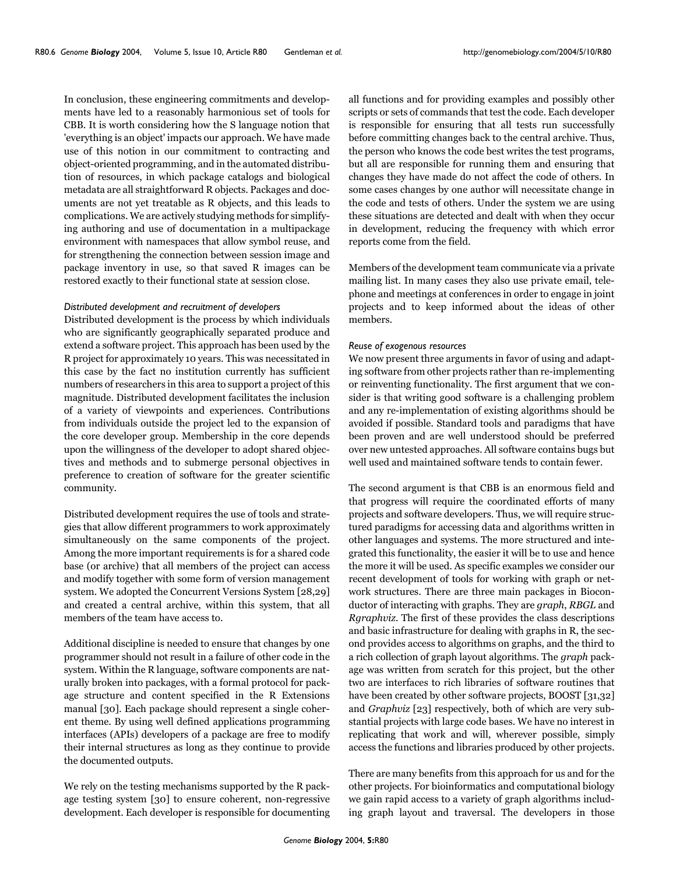In conclusion, these engineering commitments and developments have led to a reasonably harmonious set of tools for CBB. It is worth considering how the S language notion that 'everything is an object' impacts our approach. We have made use of this notion in our commitment to contracting and object-oriented programming, and in the automated distribution of resources, in which package catalogs and biological metadata are all straightforward R objects. Packages and documents are not yet treatable as R objects, and this leads to complications. We are actively studying methods for simplifying authoring and use of documentation in a multipackage environment with namespaces that allow symbol reuse, and for strengthening the connection between session image and package inventory in use, so that saved R images can be restored exactly to their functional state at session close.

#### *Distributed development and recruitment of developers*

Distributed development is the process by which individuals who are significantly geographically separated produce and extend a software project. This approach has been used by the R project for approximately 10 years. This was necessitated in this case by the fact no institution currently has sufficient numbers of researchers in this area to support a project of this magnitude. Distributed development facilitates the inclusion of a variety of viewpoints and experiences. Contributions from individuals outside the project led to the expansion of the core developer group. Membership in the core depends upon the willingness of the developer to adopt shared objectives and methods and to submerge personal objectives in preference to creation of software for the greater scientific community.

Distributed development requires the use of tools and strategies that allow different programmers to work approximately simultaneously on the same components of the project. Among the more important requirements is for a shared code base (or archive) that all members of the project can access and modify together with some form of version management system. We adopted the Concurrent Versions System [28,29] and created a central archive, within this system, that all members of the team have access to.

Additional discipline is needed to ensure that changes by one programmer should not result in a failure of other code in the system. Within the R language, software components are naturally broken into packages, with a formal protocol for package structure and content specified in the R Extensions manual [30]. Each package should represent a single coherent theme. By using well defined applications programming interfaces (APIs) developers of a package are free to modify their internal structures as long as they continue to provide the documented outputs.

We rely on the testing mechanisms supported by the R package testing system [30] to ensure coherent, non-regressive development. Each developer is responsible for documenting

all functions and for providing examples and possibly other scripts or sets of commands that test the code. Each developer is responsible for ensuring that all tests run successfully before committing changes back to the central archive. Thus, the person who knows the code best writes the test programs, but all are responsible for running them and ensuring that changes they have made do not affect the code of others. In some cases changes by one author will necessitate change in the code and tests of others. Under the system we are using these situations are detected and dealt with when they occur in development, reducing the frequency with which error reports come from the field.

Members of the development team communicate via a private mailing list. In many cases they also use private email, telephone and meetings at conferences in order to engage in joint projects and to keep informed about the ideas of other members.

#### *Reuse of exogenous resources*

We now present three arguments in favor of using and adapting software from other projects rather than re-implementing or reinventing functionality. The first argument that we consider is that writing good software is a challenging problem and any re-implementation of existing algorithms should be avoided if possible. Standard tools and paradigms that have been proven and are well understood should be preferred over new untested approaches. All software contains bugs but well used and maintained software tends to contain fewer.

The second argument is that CBB is an enormous field and that progress will require the coordinated efforts of many projects and software developers. Thus, we will require structured paradigms for accessing data and algorithms written in other languages and systems. The more structured and integrated this functionality, the easier it will be to use and hence the more it will be used. As specific examples we consider our recent development of tools for working with graph or network structures. There are three main packages in Bioconductor of interacting with graphs. They are *graph*, *RBGL* and *Rgraphviz*. The first of these provides the class descriptions and basic infrastructure for dealing with graphs in R, the second provides access to algorithms on graphs, and the third to a rich collection of graph layout algorithms. The *graph* package was written from scratch for this project, but the other two are interfaces to rich libraries of software routines that have been created by other software projects, BOOST [31,32] and *Graphviz* [23] respectively, both of which are very substantial projects with large code bases. We have no interest in replicating that work and will, wherever possible, simply access the functions and libraries produced by other projects.

There are many benefits from this approach for us and for the other projects. For bioinformatics and computational biology we gain rapid access to a variety of graph algorithms including graph layout and traversal. The developers in those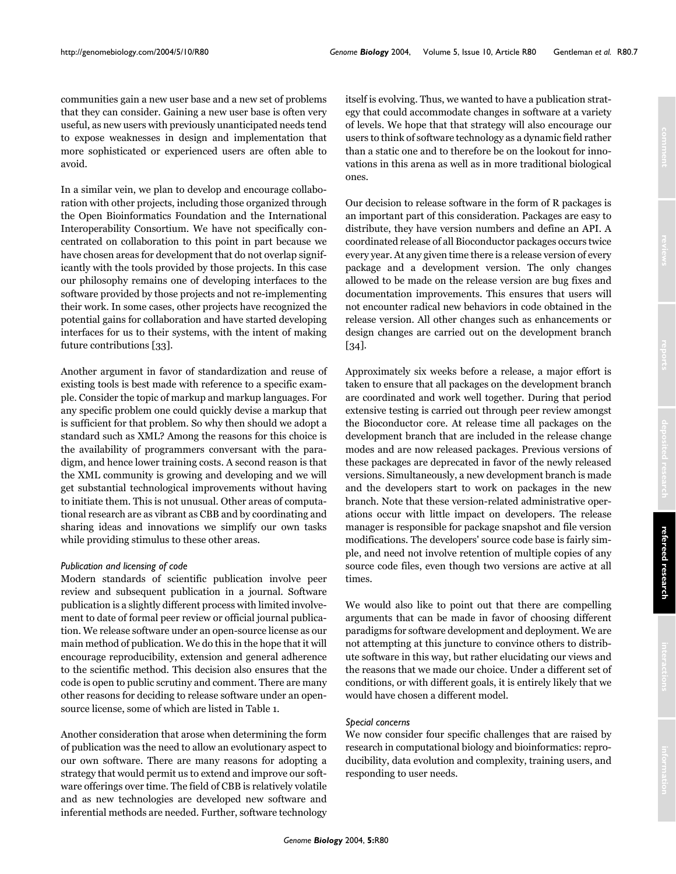communities gain a new user base and a new set of problems that they can consider. Gaining a new user base is often very useful, as new users with previously unanticipated needs tend to expose weaknesses in design and implementation that more sophisticated or experienced users are often able to avoid.

In a similar vein, we plan to develop and encourage collaboration with other projects, including those organized through the Open Bioinformatics Foundation and the International Interoperability Consortium. We have not specifically concentrated on collaboration to this point in part because we have chosen areas for development that do not overlap significantly with the tools provided by those projects. In this case our philosophy remains one of developing interfaces to the software provided by those projects and not re-implementing their work. In some cases, other projects have recognized the potential gains for collaboration and have started developing interfaces for us to their systems, with the intent of making future contributions [33].

Another argument in favor of standardization and reuse of existing tools is best made with reference to a specific example. Consider the topic of markup and markup languages. For any specific problem one could quickly devise a markup that is sufficient for that problem. So why then should we adopt a standard such as XML? Among the reasons for this choice is the availability of programmers conversant with the paradigm, and hence lower training costs. A second reason is that the XML community is growing and developing and we will get substantial technological improvements without having to initiate them. This is not unusual. Other areas of computational research are as vibrant as CBB and by coordinating and sharing ideas and innovations we simplify our own tasks while providing stimulus to these other areas.

#### *Publication and licensing of code*

Modern standards of scientific publication involve peer review and subsequent publication in a journal. Software publication is a slightly different process with limited involvement to date of formal peer review or official journal publication. We release software under an open-source license as our main method of publication. We do this in the hope that it will encourage reproducibility, extension and general adherence to the scientific method. This decision also ensures that the code is open to public scrutiny and comment. There are many other reasons for deciding to release software under an opensource license, some of which are listed in Table [1.](#page-7-0)

Another consideration that arose when determining the form of publication was the need to allow an evolutionary aspect to our own software. There are many reasons for adopting a strategy that would permit us to extend and improve our software offerings over time. The field of CBB is relatively volatile and as new technologies are developed new software and inferential methods are needed. Further, software technology

itself is evolving. Thus, we wanted to have a publication strategy that could accommodate changes in software at a variety of levels. We hope that that strategy will also encourage our users to think of software technology as a dynamic field rather than a static one and to therefore be on the lookout for innovations in this arena as well as in more traditional biological ones.

Our decision to release software in the form of R packages is an important part of this consideration. Packages are easy to distribute, they have version numbers and define an API. A coordinated release of all Bioconductor packages occurs twice every year. At any given time there is a release version of every package and a development version. The only changes allowed to be made on the release version are bug fixes and documentation improvements. This ensures that users will not encounter radical new behaviors in code obtained in the release version. All other changes such as enhancements or design changes are carried out on the development branch [34].

Approximately six weeks before a release, a major effort is taken to ensure that all packages on the development branch are coordinated and work well together. During that period extensive testing is carried out through peer review amongst the Bioconductor core. At release time all packages on the development branch that are included in the release change modes and are now released packages. Previous versions of these packages are deprecated in favor of the newly released versions. Simultaneously, a new development branch is made and the developers start to work on packages in the new branch. Note that these version-related administrative operations occur with little impact on developers. The release manager is responsible for package snapshot and file version modifications. The developers' source code base is fairly simple, and need not involve retention of multiple copies of any source code files, even though two versions are active at all times.

We would also like to point out that there are compelling arguments that can be made in favor of choosing different paradigms for software development and deployment. We are not attempting at this juncture to convince others to distribute software in this way, but rather elucidating our views and the reasons that we made our choice. Under a different set of conditions, or with different goals, it is entirely likely that we would have chosen a different model.

#### *Special concerns*

We now consider four specific challenges that are raised by research in computational biology and bioinformatics: reproducibility, data evolution and complexity, training users, and responding to user needs.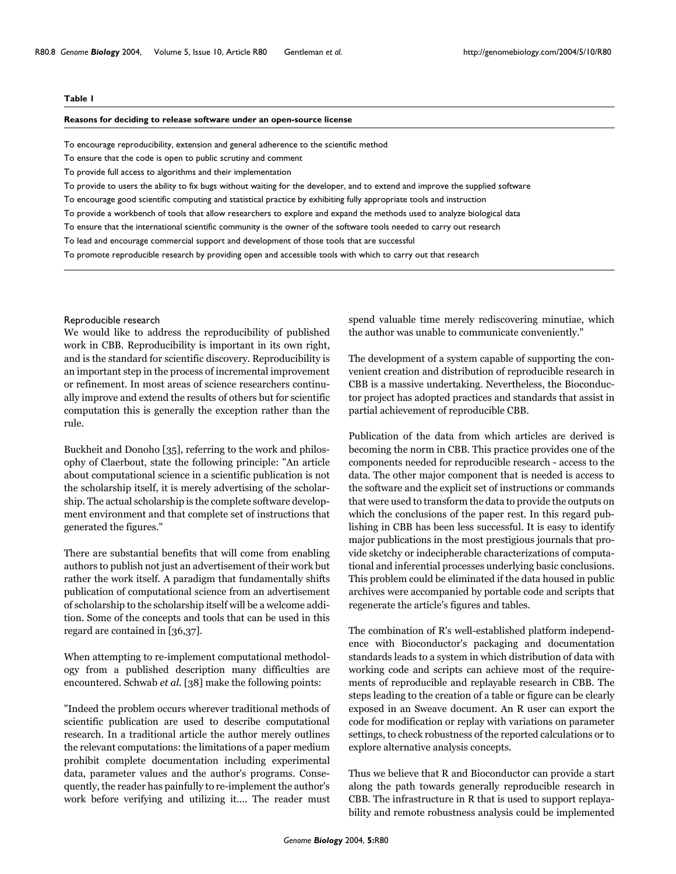#### <span id="page-7-0"></span>**Table 1**

#### **Reasons for deciding to release software under an open-source license**

To encourage reproducibility, extension and general adherence to the scientific method

To ensure that the code is open to public scrutiny and comment

To provide full access to algorithms and their implementation

To provide to users the ability to fix bugs without waiting for the developer, and to extend and improve the supplied software

To encourage good scientific computing and statistical practice by exhibiting fully appropriate tools and instruction

To provide a workbench of tools that allow researchers to explore and expand the methods used to analyze biological data

To ensure that the international scientific community is the owner of the software tools needed to carry out research

To lead and encourage commercial support and development of those tools that are successful

To promote reproducible research by providing open and accessible tools with which to carry out that research

#### Reproducible research

We would like to address the reproducibility of published work in CBB. Reproducibility is important in its own right, and is the standard for scientific discovery. Reproducibility is an important step in the process of incremental improvement or refinement. In most areas of science researchers continually improve and extend the results of others but for scientific computation this is generally the exception rather than the rule.

Buckheit and Donoho [35], referring to the work and philosophy of Claerbout, state the following principle: "An article about computational science in a scientific publication is not the scholarship itself, it is merely advertising of the scholarship. The actual scholarship is the complete software development environment and that complete set of instructions that generated the figures."

There are substantial benefits that will come from enabling authors to publish not just an advertisement of their work but rather the work itself. A paradigm that fundamentally shifts publication of computational science from an advertisement of scholarship to the scholarship itself will be a welcome addition. Some of the concepts and tools that can be used in this regard are contained in [36,37].

When attempting to re-implement computational methodology from a published description many difficulties are encountered. Schwab *et al.* [38] make the following points:

"Indeed the problem occurs wherever traditional methods of scientific publication are used to describe computational research. In a traditional article the author merely outlines the relevant computations: the limitations of a paper medium prohibit complete documentation including experimental data, parameter values and the author's programs. Consequently, the reader has painfully to re-implement the author's work before verifying and utilizing it.... The reader must spend valuable time merely rediscovering minutiae, which the author was unable to communicate conveniently."

The development of a system capable of supporting the convenient creation and distribution of reproducible research in CBB is a massive undertaking. Nevertheless, the Bioconductor project has adopted practices and standards that assist in partial achievement of reproducible CBB.

Publication of the data from which articles are derived is becoming the norm in CBB. This practice provides one of the components needed for reproducible research - access to the data. The other major component that is needed is access to the software and the explicit set of instructions or commands that were used to transform the data to provide the outputs on which the conclusions of the paper rest. In this regard publishing in CBB has been less successful. It is easy to identify major publications in the most prestigious journals that provide sketchy or indecipherable characterizations of computational and inferential processes underlying basic conclusions. This problem could be eliminated if the data housed in public archives were accompanied by portable code and scripts that regenerate the article's figures and tables.

The combination of R's well-established platform independence with Bioconductor's packaging and documentation standards leads to a system in which distribution of data with working code and scripts can achieve most of the requirements of reproducible and replayable research in CBB. The steps leading to the creation of a table or figure can be clearly exposed in an Sweave document. An R user can export the code for modification or replay with variations on parameter settings, to check robustness of the reported calculations or to explore alternative analysis concepts.

Thus we believe that R and Bioconductor can provide a start along the path towards generally reproducible research in CBB. The infrastructure in R that is used to support replayability and remote robustness analysis could be implemented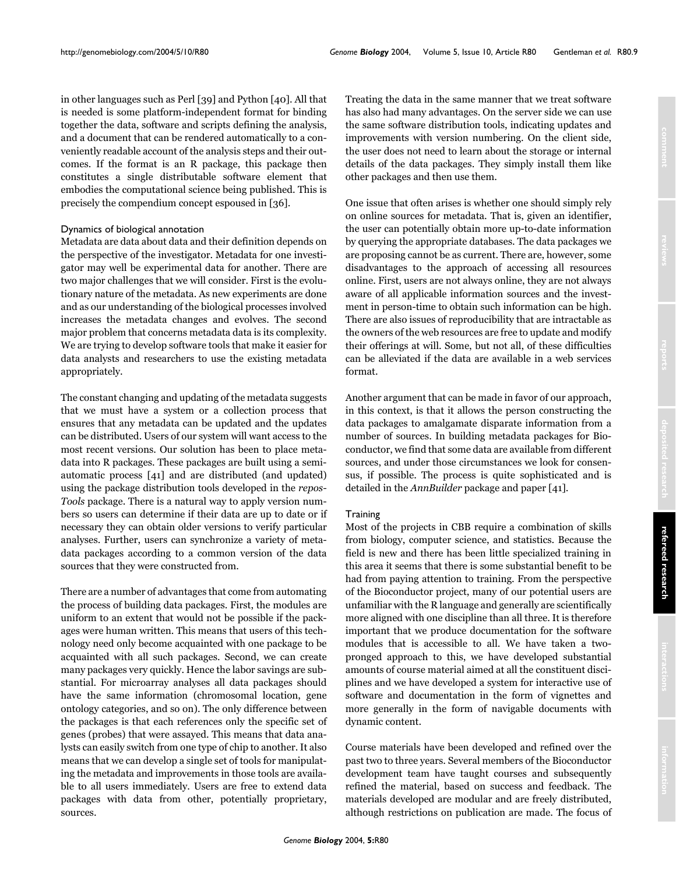in other languages such as Perl [39] and Python [40]. All that is needed is some platform-independent format for binding together the data, software and scripts defining the analysis, and a document that can be rendered automatically to a conveniently readable account of the analysis steps and their outcomes. If the format is an R package, this package then constitutes a single distributable software element that embodies the computational science being published. This is precisely the compendium concept espoused in [36].

#### Dynamics of biological annotation

Metadata are data about data and their definition depends on the perspective of the investigator. Metadata for one investigator may well be experimental data for another. There are two major challenges that we will consider. First is the evolutionary nature of the metadata. As new experiments are done and as our understanding of the biological processes involved increases the metadata changes and evolves. The second major problem that concerns metadata data is its complexity. We are trying to develop software tools that make it easier for data analysts and researchers to use the existing metadata appropriately.

The constant changing and updating of the metadata suggests that we must have a system or a collection process that ensures that any metadata can be updated and the updates can be distributed. Users of our system will want access to the most recent versions. Our solution has been to place metadata into R packages. These packages are built using a semiautomatic process [41] and are distributed (and updated) using the package distribution tools developed in the *repos-Tools* package. There is a natural way to apply version numbers so users can determine if their data are up to date or if necessary they can obtain older versions to verify particular analyses. Further, users can synchronize a variety of metadata packages according to a common version of the data sources that they were constructed from.

There are a number of advantages that come from automating the process of building data packages. First, the modules are uniform to an extent that would not be possible if the packages were human written. This means that users of this technology need only become acquainted with one package to be acquainted with all such packages. Second, we can create many packages very quickly. Hence the labor savings are substantial. For microarray analyses all data packages should have the same information (chromosomal location, gene ontology categories, and so on). The only difference between the packages is that each references only the specific set of genes (probes) that were assayed. This means that data analysts can easily switch from one type of chip to another. It also means that we can develop a single set of tools for manipulating the metadata and improvements in those tools are available to all users immediately. Users are free to extend data packages with data from other, potentially proprietary, sources.

Treating the data in the same manner that we treat software has also had many advantages. On the server side we can use the same software distribution tools, indicating updates and improvements with version numbering. On the client side, the user does not need to learn about the storage or internal details of the data packages. They simply install them like other packages and then use them.

One issue that often arises is whether one should simply rely on online sources for metadata. That is, given an identifier, the user can potentially obtain more up-to-date information by querying the appropriate databases. The data packages we are proposing cannot be as current. There are, however, some disadvantages to the approach of accessing all resources online. First, users are not always online, they are not always aware of all applicable information sources and the investment in person-time to obtain such information can be high. There are also issues of reproducibility that are intractable as the owners of the web resources are free to update and modify their offerings at will. Some, but not all, of these difficulties can be alleviated if the data are available in a web services format.

Another argument that can be made in favor of our approach, in this context, is that it allows the person constructing the data packages to amalgamate disparate information from a number of sources. In building metadata packages for Bioconductor, we find that some data are available from different sources, and under those circumstances we look for consensus, if possible. The process is quite sophisticated and is detailed in the *AnnBuilder* package and paper [41].

#### **Training**

Most of the projects in CBB require a combination of skills from biology, computer science, and statistics. Because the field is new and there has been little specialized training in this area it seems that there is some substantial benefit to be had from paying attention to training. From the perspective of the Bioconductor project, many of our potential users are unfamiliar with the R language and generally are scientifically more aligned with one discipline than all three. It is therefore important that we produce documentation for the software modules that is accessible to all. We have taken a twopronged approach to this, we have developed substantial amounts of course material aimed at all the constituent disciplines and we have developed a system for interactive use of software and documentation in the form of vignettes and more generally in the form of navigable documents with dynamic content.

Course materials have been developed and refined over the past two to three years. Several members of the Bioconductor development team have taught courses and subsequently refined the material, based on success and feedback. The materials developed are modular and are freely distributed, although restrictions on publication are made. The focus of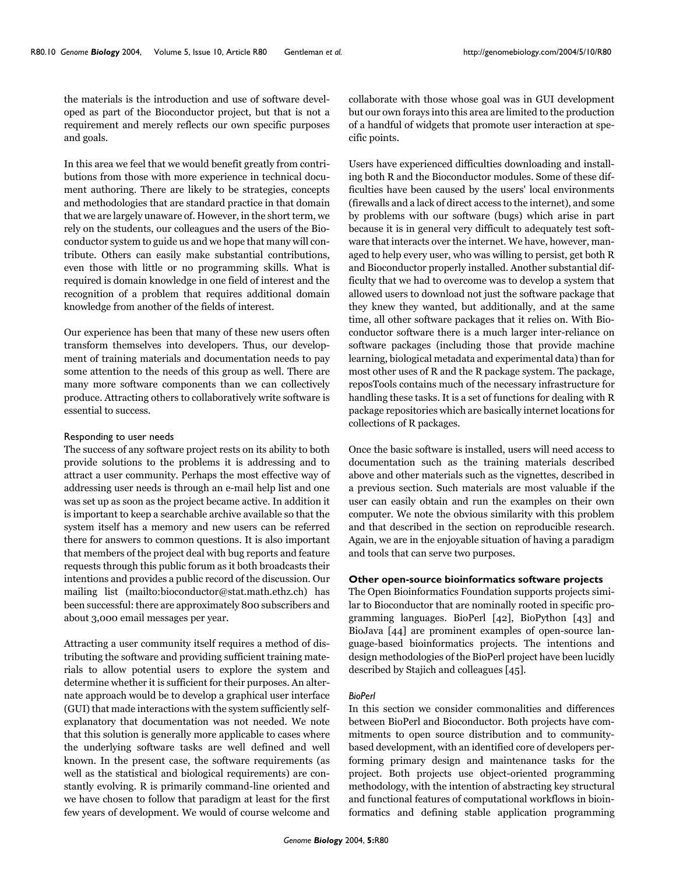the materials is the introduction and use of software developed as part of the Bioconductor project, but that is not a requirement and merely reflects our own specific purposes and goals.

In this area we feel that we would benefit greatly from contributions from those with more experience in technical document authoring. There are likely to be strategies, concepts and methodologies that are standard practice in that domain that we are largely unaware of. However, in the short term, we rely on the students, our colleagues and the users of the Bioconductor system to guide us and we hope that many will contribute. Others can easily make substantial contributions, even those with little or no programming skills. What is required is domain knowledge in one field of interest and the recognition of a problem that requires additional domain knowledge from another of the fields of interest.

Our experience has been that many of these new users often transform themselves into developers. Thus, our development of training materials and documentation needs to pay some attention to the needs of this group as well. There are many more software components than we can collectively produce. Attracting others to collaboratively write software is essential to success.

#### Responding to user needs

The success of any software project rests on its ability to both provide solutions to the problems it is addressing and to attract a user community. Perhaps the most effective way of addressing user needs is through an e-mail help list and one was set up as soon as the project became active. In addition it is important to keep a searchable archive available so that the system itself has a memory and new users can be referred there for answers to common questions. It is also important that members of the project deal with bug reports and feature requests through this public forum as it both broadcasts their intentions and provides a public record of the discussion. Our mailing list (mailto:bioconductor@stat.math.ethz.ch) has been successful: there are approximately 800 subscribers and about 3,000 email messages per year.

Attracting a user community itself requires a method of distributing the software and providing sufficient training materials to allow potential users to explore the system and determine whether it is sufficient for their purposes. An alternate approach would be to develop a graphical user interface (GUI) that made interactions with the system sufficiently selfexplanatory that documentation was not needed. We note that this solution is generally more applicable to cases where the underlying software tasks are well defined and well known. In the present case, the software requirements (as well as the statistical and biological requirements) are constantly evolving. R is primarily command-line oriented and we have chosen to follow that paradigm at least for the first few years of development. We would of course welcome and

collaborate with those whose goal was in GUI development but our own forays into this area are limited to the production of a handful of widgets that promote user interaction at specific points.

Users have experienced difficulties downloading and installing both R and the Bioconductor modules. Some of these difficulties have been caused by the users' local environments (firewalls and a lack of direct access to the internet), and some by problems with our software (bugs) which arise in part because it is in general very difficult to adequately test software that interacts over the internet. We have, however, managed to help every user, who was willing to persist, get both R and Bioconductor properly installed. Another substantial difficulty that we had to overcome was to develop a system that allowed users to download not just the software package that they knew they wanted, but additionally, and at the same time, all other software packages that it relies on. With Bioconductor software there is a much larger inter-reliance on software packages (including those that provide machine learning, biological metadata and experimental data) than for most other uses of R and the R package system. The package, reposTools contains much of the necessary infrastructure for handling these tasks. It is a set of functions for dealing with R package repositories which are basically internet locations for collections of R packages.

Once the basic software is installed, users will need access to documentation such as the training materials described above and other materials such as the vignettes, described in a previous section. Such materials are most valuable if the user can easily obtain and run the examples on their own computer. We note the obvious similarity with this problem and that described in the section on reproducible research. Again, we are in the enjoyable situation of having a paradigm and tools that can serve two purposes.

#### **Other open-source bioinformatics software projects**

The Open Bioinformatics Foundation supports projects similar to Bioconductor that are nominally rooted in specific programming languages. BioPerl [42], BioPython [43] and BioJava [44] are prominent examples of open-source language-based bioinformatics projects. The intentions and design methodologies of the BioPerl project have been lucidly described by Stajich and colleagues [45].

#### *BioPerl*

In this section we consider commonalities and differences between BioPerl and Bioconductor. Both projects have commitments to open source distribution and to communitybased development, with an identified core of developers performing primary design and maintenance tasks for the project. Both projects use object-oriented programming methodology, with the intention of abstracting key structural and functional features of computational workflows in bioinformatics and defining stable application programming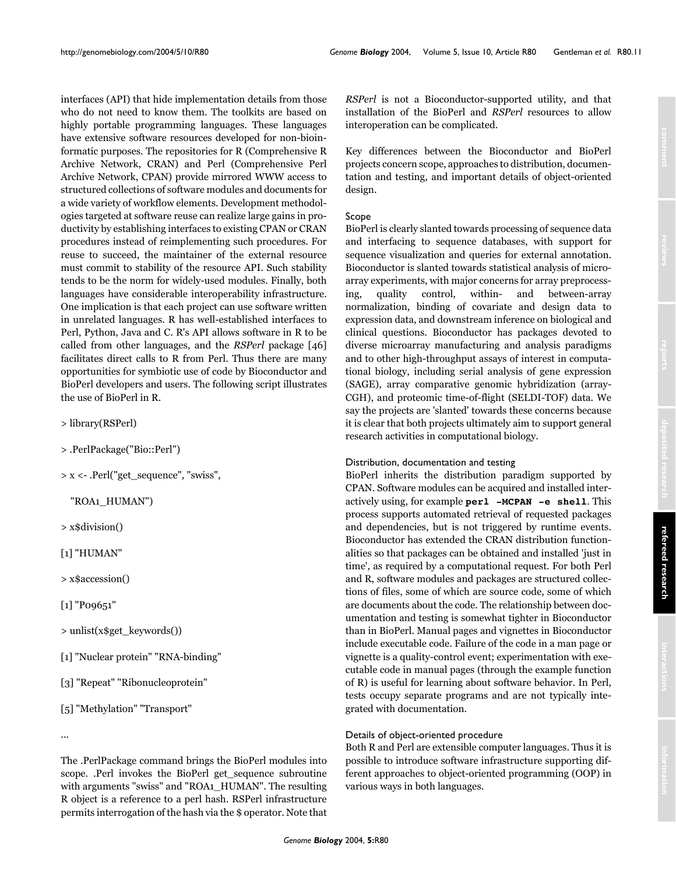interfaces (API) that hide implementation details from those who do not need to know them. The toolkits are based on highly portable programming languages. These languages have extensive software resources developed for non-bioinformatic purposes. The repositories for R (Comprehensive R Archive Network, CRAN) and Perl (Comprehensive Perl Archive Network, CPAN) provide mirrored WWW access to structured collections of software modules and documents for a wide variety of workflow elements. Development methodologies targeted at software reuse can realize large gains in productivity by establishing interfaces to existing CPAN or CRAN procedures instead of reimplementing such procedures. For reuse to succeed, the maintainer of the external resource must commit to stability of the resource API. Such stability tends to be the norm for widely-used modules. Finally, both languages have considerable interoperability infrastructure. One implication is that each project can use software written in unrelated languages. R has well-established interfaces to Perl, Python, Java and C. R's API allows software in R to be called from other languages, and the *RSPerl* package [46] facilitates direct calls to R from Perl. Thus there are many opportunities for symbiotic use of code by Bioconductor and BioPerl developers and users. The following script illustrates the use of BioPerl in R.

> library(RSPerl)

> .PerlPackage("Bio::Perl")

 $> x <$  - .Perl("get\_sequence", "swiss",

"ROA1\_HUMAN")

> x\$division()

- [1] "HUMAN"
- > x\$accession()
- [1] "P09651"
- > unlist(x\$get\_keywords())
- [1] "Nuclear protein" "RNA-binding"
- [3] "Repeat" "Ribonucleoprotein"
- [5] "Methylation" "Transport"

...

The .PerlPackage command brings the BioPerl modules into scope. .Perl invokes the BioPerl get\_sequence subroutine with arguments "swiss" and "ROA1\_HUMAN". The resulting R object is a reference to a perl hash. RSPerl infrastructure permits interrogation of the hash via the \$ operator. Note that *RSPerl* is not a Bioconductor-supported utility, and that installation of the BioPerl and *RSPerl* resources to allow interoperation can be complicated.

Key differences between the Bioconductor and BioPerl projects concern scope, approaches to distribution, documentation and testing, and important details of object-oriented design.

#### Scope

BioPerl is clearly slanted towards processing of sequence data and interfacing to sequence databases, with support for sequence visualization and queries for external annotation. Bioconductor is slanted towards statistical analysis of microarray experiments, with major concerns for array preprocessing, quality control, within- and between-array normalization, binding of covariate and design data to expression data, and downstream inference on biological and clinical questions. Bioconductor has packages devoted to diverse microarray manufacturing and analysis paradigms and to other high-throughput assays of interest in computational biology, including serial analysis of gene expression (SAGE), array comparative genomic hybridization (array-CGH), and proteomic time-of-flight (SELDI-TOF) data. We say the projects are 'slanted' towards these concerns because it is clear that both projects ultimately aim to support general research activities in computational biology.

#### Distribution, documentation and testing

BioPerl inherits the distribution paradigm supported by CPAN. Software modules can be acquired and installed interactively using, for example **perl** -MCPAN -e shell. This process supports automated retrieval of requested packages and dependencies, but is not triggered by runtime events. Bioconductor has extended the CRAN distribution functionalities so that packages can be obtained and installed 'just in time', as required by a computational request. For both Perl and R, software modules and packages are structured collections of files, some of which are source code, some of which are documents about the code. The relationship between documentation and testing is somewhat tighter in Bioconductor than in BioPerl. Manual pages and vignettes in Bioconductor include executable code. Failure of the code in a man page or vignette is a quality-control event; experimentation with executable code in manual pages (through the example function of R) is useful for learning about software behavior. In Perl, tests occupy separate programs and are not typically integrated with documentation.

## Details of object-oriented procedure

Both R and Perl are extensible computer languages. Thus it is possible to introduce software infrastructure supporting different approaches to object-oriented programming (OOP) in various ways in both languages.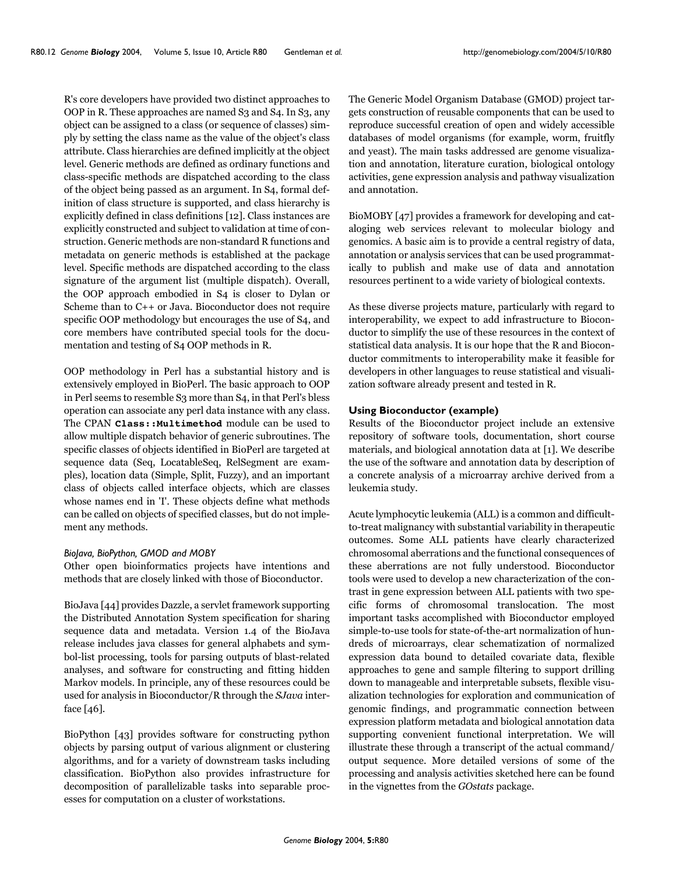R's core developers have provided two distinct approaches to OOP in R. These approaches are named S3 and S4. In S3, any object can be assigned to a class (or sequence of classes) simply by setting the class name as the value of the object's class attribute. Class hierarchies are defined implicitly at the object level. Generic methods are defined as ordinary functions and class-specific methods are dispatched according to the class of the object being passed as an argument. In S4, formal definition of class structure is supported, and class hierarchy is explicitly defined in class definitions [12]. Class instances are explicitly constructed and subject to validation at time of construction. Generic methods are non-standard R functions and metadata on generic methods is established at the package level. Specific methods are dispatched according to the class signature of the argument list (multiple dispatch). Overall, the OOP approach embodied in S4 is closer to Dylan or Scheme than to C++ or Java. Bioconductor does not require specific OOP methodology but encourages the use of S4, and core members have contributed special tools for the documentation and testing of S4 OOP methods in R.

OOP methodology in Perl has a substantial history and is extensively employed in BioPerl. The basic approach to OOP in Perl seems to resemble S3 more than S4, in that Perl's bless operation can associate any perl data instance with any class. The CPAN Class:: Multimethod module can be used to allow multiple dispatch behavior of generic subroutines. The specific classes of objects identified in BioPerl are targeted at sequence data (Seq, LocatableSeq, RelSegment are examples), location data (Simple, Split, Fuzzy), and an important class of objects called interface objects, which are classes whose names end in 'I'. These objects define what methods can be called on objects of specified classes, but do not implement any methods.

#### *BioJava, BioPython, GMOD and MOBY*

Other open bioinformatics projects have intentions and methods that are closely linked with those of Bioconductor.

BioJava [44] provides Dazzle, a servlet framework supporting the Distributed Annotation System specification for sharing sequence data and metadata. Version 1.4 of the BioJava release includes java classes for general alphabets and symbol-list processing, tools for parsing outputs of blast-related analyses, and software for constructing and fitting hidden Markov models. In principle, any of these resources could be used for analysis in Bioconductor/R through the *SJava* interface [46].

BioPython [43] provides software for constructing python objects by parsing output of various alignment or clustering algorithms, and for a variety of downstream tasks including classification. BioPython also provides infrastructure for decomposition of parallelizable tasks into separable processes for computation on a cluster of workstations.

The Generic Model Organism Database (GMOD) project targets construction of reusable components that can be used to reproduce successful creation of open and widely accessible databases of model organisms (for example, worm, fruitfly and yeast). The main tasks addressed are genome visualization and annotation, literature curation, biological ontology activities, gene expression analysis and pathway visualization and annotation.

BioMOBY [47] provides a framework for developing and cataloging web services relevant to molecular biology and genomics. A basic aim is to provide a central registry of data, annotation or analysis services that can be used programmatically to publish and make use of data and annotation resources pertinent to a wide variety of biological contexts.

As these diverse projects mature, particularly with regard to interoperability, we expect to add infrastructure to Bioconductor to simplify the use of these resources in the context of statistical data analysis. It is our hope that the R and Bioconductor commitments to interoperability make it feasible for developers in other languages to reuse statistical and visualization software already present and tested in R.

#### **Using Bioconductor (example)**

Results of the Bioconductor project include an extensive repository of software tools, documentation, short course materials, and biological annotation data at [1]. We describe the use of the software and annotation data by description of a concrete analysis of a microarray archive derived from a leukemia study.

Acute lymphocytic leukemia (ALL) is a common and difficultto-treat malignancy with substantial variability in therapeutic outcomes. Some ALL patients have clearly characterized chromosomal aberrations and the functional consequences of these aberrations are not fully understood. Bioconductor tools were used to develop a new characterization of the contrast in gene expression between ALL patients with two specific forms of chromosomal translocation. The most important tasks accomplished with Bioconductor employed simple-to-use tools for state-of-the-art normalization of hundreds of microarrays, clear schematization of normalized expression data bound to detailed covariate data, flexible approaches to gene and sample filtering to support drilling down to manageable and interpretable subsets, flexible visualization technologies for exploration and communication of genomic findings, and programmatic connection between expression platform metadata and biological annotation data supporting convenient functional interpretation. We will illustrate these through a transcript of the actual command/ output sequence. More detailed versions of some of the processing and analysis activities sketched here can be found in the vignettes from the *GOstats* package.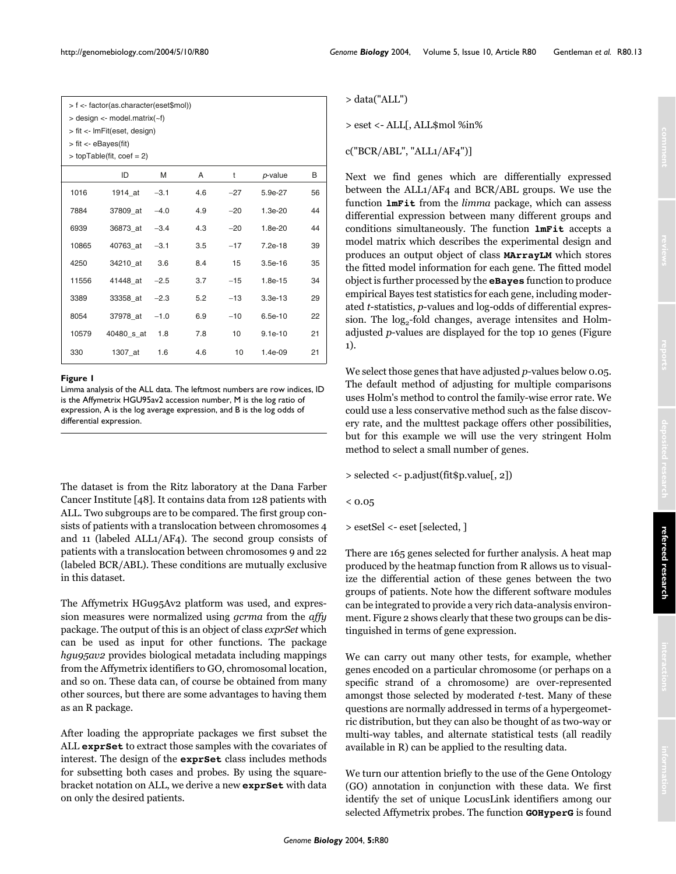| > f <- factor(as.character(eset\$mol))   |            |        |     |       |           |    |  |  |
|------------------------------------------|------------|--------|-----|-------|-----------|----|--|--|
| $>$ design $<$ - model.matrix( $\sim$ f) |            |        |     |       |           |    |  |  |
| > fit <- ImFit(eset, design)             |            |        |     |       |           |    |  |  |
| > fit <- eBayes(fit)                     |            |        |     |       |           |    |  |  |
| $>$ topTable(fit, coef = 2)              |            |        |     |       |           |    |  |  |
|                                          | ID         | M      | A   | t     | p-value   | В  |  |  |
| 1016                                     | 1914_at    | $-3.1$ | 4.6 | $-27$ | 5.9e-27   | 56 |  |  |
| 7884                                     | 37809 at   | $-4.0$ | 4.9 | $-20$ | 1.3e-20   | 44 |  |  |
| 6939                                     | 36873 at   | $-3.4$ | 4.3 | $-20$ | 1.8e-20   | 44 |  |  |
| 10865                                    | 40763_at   | $-3.1$ | 3.5 | $-17$ | 7.2e-18   | 39 |  |  |
| 4250                                     | 34210 at   | 3.6    | 8.4 | 15    | $3.5e-16$ | 35 |  |  |
| 11556                                    | 41448 at   | $-2.5$ | 3.7 | $-15$ | $1.8e-15$ | 34 |  |  |
| 3389                                     | 33358_at   | $-2.3$ | 5.2 | $-13$ | $3.3e-13$ | 29 |  |  |
| 8054                                     | 37978 at   | $-1.0$ | 6.9 | $-10$ | 6.5e-10   | 22 |  |  |
| 10579                                    | 40480_s_at | 1.8    | 7.8 | 10    | $9.1e-10$ | 21 |  |  |
| 330                                      | 1307_at    | 1.6    | 4.6 | 10    | 1.4e-09   | 21 |  |  |

#### **Figure 1**

Limma analysis of the ALL data. The leftmost numbers are row indices, ID is the Affymetrix HGU95av2 accession number, M is the log ratio of expression, A is the log average expression, and B is the log odds of differential expression.

The dataset is from the Ritz laboratory at the Dana Farber Cancer Institute [48]. It contains data from 128 patients with ALL. Two subgroups are to be compared. The first group consists of patients with a translocation between chromosomes 4 and 11 (labeled ALL1/AF4). The second group consists of patients with a translocation between chromosomes 9 and 22 (labeled BCR/ABL). These conditions are mutually exclusive in this dataset.

The Affymetrix HGu95Av2 platform was used, and expression measures were normalized using *gcrma* from the *affy* package. The output of this is an object of class *exprSet* which can be used as input for other functions. The package *hgu95av2* provides biological metadata including mappings from the Affymetrix identifiers to GO, chromosomal location, and so on. These data can, of course be obtained from many other sources, but there are some advantages to having them as an R package.

After loading the appropriate packages we first subset the ALL exprSet to extract those samples with the covariates of interest. The design of the **exprSet** class includes methods for subsetting both cases and probes. By using the squarebracket notation on ALL, we derive a new exprSet with data on only the desired patients.

> data("ALL")

> eset <- ALL[, ALL\$mol %in%

c("BCR/ABL", "ALL1/AF4")]

Next we find genes which are differentially expressed between the ALL1/AF4 and BCR/ABL groups. We use the function lmFit from the *limma* package, which can assess differential expression between many different groups and conditions simultaneously. The function  $lmFit$  accepts a model matrix which describes the experimental design and produces an output object of class MArrayLM which stores the fitted model information for each gene. The fitted model object is further processed by the eBayes function to produce empirical Bayes test statistics for each gene, including moderated *t*-statistics, *p*-values and log-odds of differential expression. The log<sub>2</sub>-fold changes, average intensites and Holmadjusted *p*-values are displayed for the top 10 genes (Figure 1).

We select those genes that have adjusted *p*-values below 0.05. The default method of adjusting for multiple comparisons uses Holm's method to control the family-wise error rate. We could use a less conservative method such as the false discovery rate, and the multtest package offers other possibilities, but for this example we will use the very stringent Holm method to select a small number of genes.

> selected <- p.adjust(fit\$p.value[, 2])

 $< 0.05$ 

> esetSel <- eset [selected, ]

There are 165 genes selected for further analysis. A heat map produced by the heatmap function from R allows us to visualize the differential action of these genes between the two groups of patients. Note how the different software modules can be integrated to provide a very rich data-analysis environment. Figure [2](#page-13-0) shows clearly that these two groups can be distinguished in terms of gene expression.

We can carry out many other tests, for example, whether genes encoded on a particular chromosome (or perhaps on a specific strand of a chromosome) are over-represented amongst those selected by moderated *t*-test. Many of these questions are normally addressed in terms of a hypergeometric distribution, but they can also be thought of as two-way or multi-way tables, and alternate statistical tests (all readily available in R) can be applied to the resulting data.

We turn our attention briefly to the use of the Gene Ontology (GO) annotation in conjunction with these data. We first identify the set of unique LocusLink identifiers among our selected Affymetrix probes. The function GOHyperG is found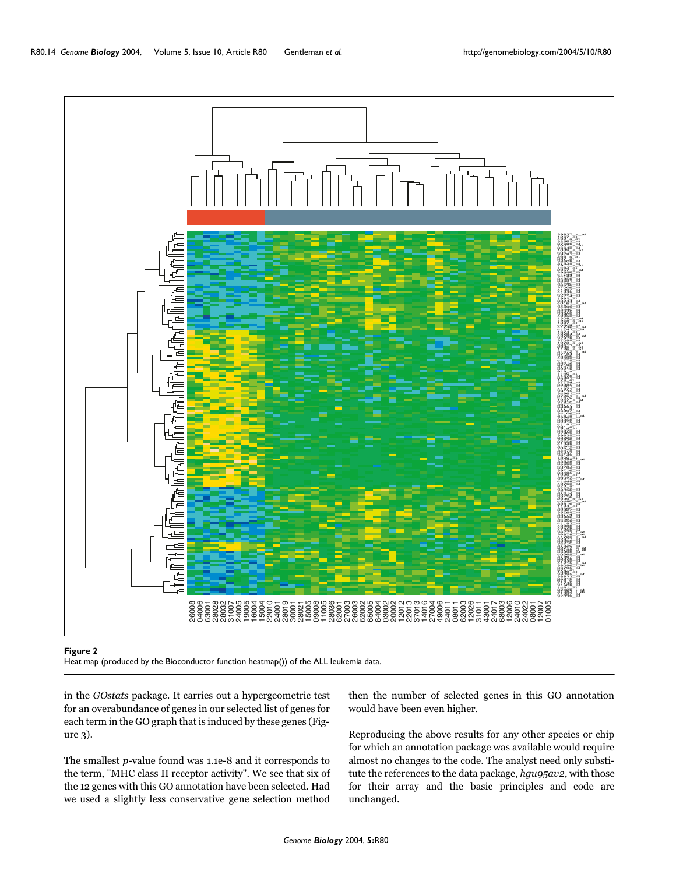<span id="page-13-0"></span>

#### Heat map (produced by the Bi **Figure 2** oconductor function heatmap()) of the ALL leukemia data

in the *GOstats* package. It carries out a hypergeometric test for an overabundance of genes in our selected list of genes for each term in the GO graph that is induced by these genes (Figure 3).

The smallest *p*-value found was 1.1e-8 and it corresponds to the term, "MHC class II receptor activity". We see that six of the 12 genes with this GO annotation have been selected. Had we used a slightly less conservative gene selection method then the number of selected genes in this GO annotation would have been even higher.

Reproducing the above results for any other species or chip for which an annotation package was available would require almost no changes to the code. The analyst need only substitute the references to the data package, *hgu95av2*, with those for their array and the basic principles and code are unchanged.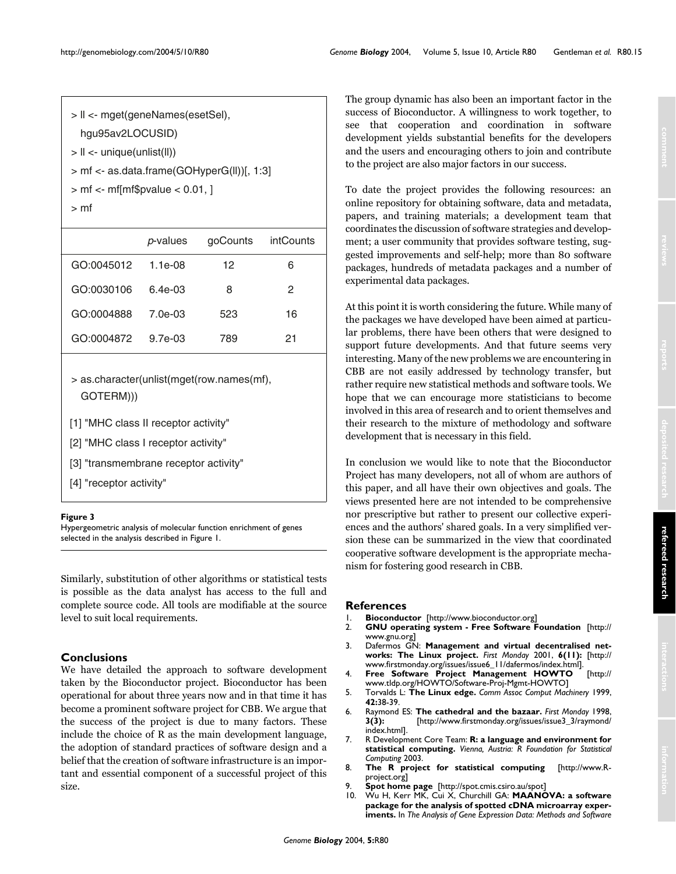| > II <- mget(geneNames(esetSel),           |  |  |  |  |  |  |
|--------------------------------------------|--|--|--|--|--|--|
| hqu95av2LOCUSID)                           |  |  |  |  |  |  |
| $> II <$ - unique(unlist(ll))              |  |  |  |  |  |  |
| > mf <- as.data.frame(GOHyperG(II))[, 1:3] |  |  |  |  |  |  |

 $> m f < - m f [m f$ \$pvalue  $< 0.01$ , ]

> mf

|            | <i>p</i> -values | goCounts | <i>intCounts</i> |
|------------|------------------|----------|------------------|
| GO:0045012 | $1.1e-08$        | 12       | 6                |
| GO:0030106 | $6.4e-03$        | 8        | 2                |
| GO:0004888 | 7.0e-03          | 523      | 16               |
| GO:0004872 | $9.7e-03$        | 789      | 21               |

- > as.character(unlist(mget(row.names(mf), GOTERM)))
- [1] "MHC class II receptor activity"
- [2] "MHC class I receptor activity"
- [3] "transmembrane receptor activity"
- [4] "receptor activity"

## Figure 3

Hypergeometric analysis of molecular function enrichment of genes selected in the analysis described in Figure 1.

Similarly, substitution of other algorithms or statistical tests is possible as the data analyst has access to the full and complete source code. All tools are modifiable at the source level to suit local requirements.

## **Conclusions**

We have detailed the approach to software development taken by the Bioconductor project. Bioconductor has been operational for about three years now and in that time it has become a prominent software project for CBB. We argue that the success of the project is due to many factors. These include the choice of R as the main development language, the adoption of standard practices of software design and a belief that the creation of software infrastructure is an important and essential component of a successful project of this size.

The group dynamic has also been an important factor in the success of Bioconductor. A willingness to work together, to see that cooperation and coordination in software development yields substantial benefits for the developers and the users and encouraging others to join and contribute to the project are also major factors in our success.

To date the project provides the following resources: an online repository for obtaining software, data and metadata, papers, and training materials; a development team that coordinates the discussion of software strategies and development; a user community that provides software testing, suggested improvements and self-help; more than 80 software packages, hundreds of metadata packages and a number of experimental data packages.

At this point it is worth considering the future. While many of the packages we have developed have been aimed at particular problems, there have been others that were designed to support future developments. And that future seems very interesting. Many of the new problems we are encountering in CBB are not easily addressed by technology transfer, but rather require new statistical methods and software tools. We hope that we can encourage more statisticians to become involved in this area of research and to orient themselves and their research to the mixture of methodology and software development that is necessary in this field.

In conclusion we would like to note that the Bioconductor Project has many developers, not all of whom are authors of this paper, and all have their own objectives and goals. The views presented here are not intended to be comprehensive nor prescriptive but rather to present our collective experiences and the authors' shared goals. In a very simplified version these can be summarized in the view that coordinated cooperative software development is the appropriate mechanism for fostering good research in CBB.

## **References**

- 1. **Bioconductor** [\[http://www.bioconductor.org\]](http://www.bioconductor.org)<br>2. **GNU** operating system Free Software F
- 2. **GNU operating system Free Software Foundation** [\[http://](http://www.gnu.org) [www.gnu.org\]](http://www.gnu.org)
- 3. Dafermos GN: **Management and virtual decentralised networks: The Linux project.** *First Monday* 2001, **6(11):** [\[http://](http://www.firstmonday.org/issues/issue6_11/dafermos/index.html) [www.firstmonday.org/issues/issue6\\_11/dafermos/index.html\].](http://www.firstmonday.org/issues/issue6_11/dafermos/index.html)
- 4. **Free Software Project Management HOWTO** [\[http://](http://www.tldp.org/HOWTO/Software-Proj-Mgmt-HOWTO) [www.tldp.org/HOWTO/Software-Proj-Mgmt-HOWTO\]](http://www.tldp.org/HOWTO/Software-Proj-Mgmt-HOWTO)
- 5. Torvalds L: **[The Linux edge.](http://www.ncbi.nlm.nih.gov/entrez/query.fcgi?cmd=Retrieve&db=PubMed&dopt=Abstract&list_uids=10.1145/299157.299165)** *Comm Assoc Comput Machinery* 1999, **42:**38-39.
- 6. Raymond ES: **The cathedral and the bazaar.** *First Monday* 1998, **3(3):** [\[http://www.firstmonday.org/issues/issue3\\_3/raymond/](http://www.firstmonday.org/issues/issue3_3/raymond/index.html) [index.html\].](http://www.firstmonday.org/issues/issue3_3/raymond/index.html)
- 7. R Development Core Team: **R: a language and environment for statistical computing.** *Vienna, Austria: R Foundation for Statistical Computing* 2003.
- 8. **The R project for statistical computing** [\[http://www.R](http://www.R-project.org)[project.org\]](http://www.R-project.org)
- 9. **Spot home page** [\[http://spot.cmis.csiro.au/spot\]](http://spot.cmis.csiro.au/spot)
- 10. Wu H, Kerr MK, Cui X, Churchill GA: **MAANOVA: a software package for the analysis of spotted cDNA microarray experiments.** In *The Analysis of Gene Expression Data: Methods and Software*